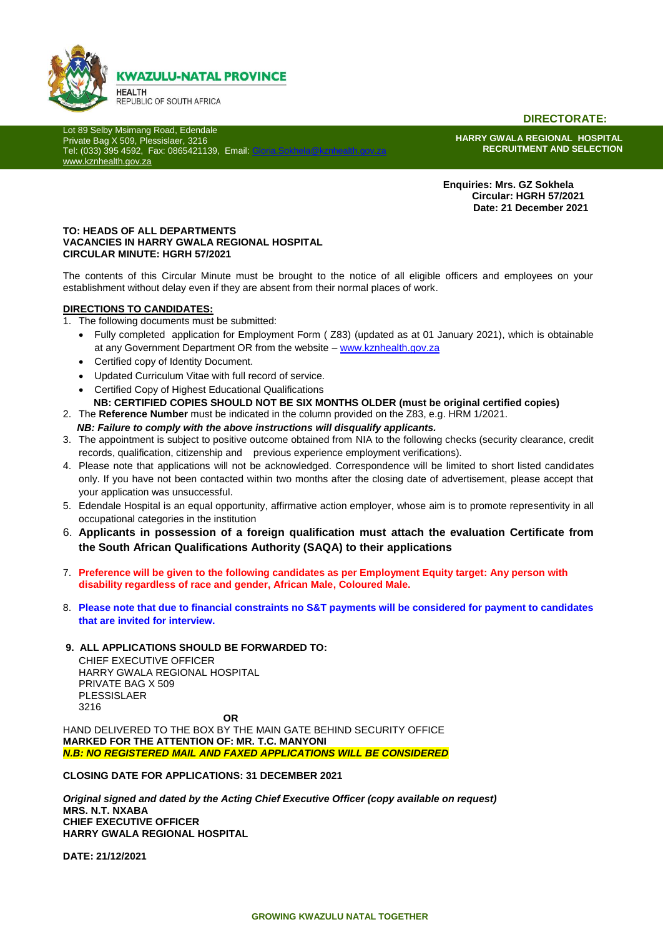

**DIRECTORATE:**

Lot 89 Selby Msimang Road, Edendale Private Bag X 509, Plessislaer, 3216 Tel: (033) 395 4592, Fax: 0865421139, Email: [www.kznhealth.gov.za](http://www.kznhealth.gov.za/)

**HARRY GWALA REGIONAL HOSPITAL RECRUITMENT AND SELECTION**

 **Enquiries: Mrs. GZ Sokhela Circular: HGRH 57/2021 Date: 21 December 2021**

#### **TO: HEADS OF ALL DEPARTMENTS VACANCIES IN HARRY GWALA REGIONAL HOSPITAL CIRCULAR MINUTE: HGRH 57/2021**

The contents of this Circular Minute must be brought to the notice of all eligible officers and employees on your establishment without delay even if they are absent from their normal places of work.

#### **DIRECTIONS TO CANDIDATES:**

- 1. The following documents must be submitted:
	- Fully completed application for Employment Form ( Z83) (updated as at 01 January 2021), which is obtainable at any Government Department OR from the website – [www.kznhealth.gov.za](http://www.kznhealth.gov.za/)
	- Certified copy of Identity Document.
	- Updated Curriculum Vitae with full record of service.
	- Certified Copy of Highest Educational Qualifications
	- **NB: CERTIFIED COPIES SHOULD NOT BE SIX MONTHS OLDER (must be original certified copies)**
- 2. The **Reference Number** must be indicated in the column provided on the Z83, e.g. HRM 1/2021.
	- *NB: Failure to comply with the above instructions will disqualify applicants.*
- 3. The appointment is subject to positive outcome obtained from NIA to the following checks (security clearance, credit records, qualification, citizenship and previous experience employment verifications).
- 4. Please note that applications will not be acknowledged. Correspondence will be limited to short listed candidates only. If you have not been contacted within two months after the closing date of advertisement, please accept that your application was unsuccessful.
- 5. Edendale Hospital is an equal opportunity, affirmative action employer, whose aim is to promote representivity in all occupational categories in the institution
- 6. **Applicants in possession of a foreign qualification must attach the evaluation Certificate from the South African Qualifications Authority (SAQA) to their applications**
- 7. **Preference will be given to the following candidates as per Employment Equity target: Any person with disability regardless of race and gender, African Male, Coloured Male.**
- 8. **Please note that due to financial constraints no S&T payments will be considered for payment to candidates that are invited for interview.**

#### **9. ALL APPLICATIONS SHOULD BE FORWARDED TO:**

CHIEF EXECUTIVE OFFICER HARRY GWALA REGIONAL HOSPITAL PRIVATE BAG X 509 PLESSISLAER 3216

**OR**

HAND DELIVERED TO THE BOX BY THE MAIN GATE BEHIND SECURITY OFFICE **MARKED FOR THE ATTENTION OF: MR. T.C. MANYONI** *N.B: NO REGISTERED MAIL AND FAXED APPLICATIONS WILL BE CONSIDERED*

**CLOSING DATE FOR APPLICATIONS: 31 DECEMBER 2021**

*Original signed and dated by the Acting Chief Executive Officer (copy available on request)* **MRS. N.T. NXABA CHIEF EXECUTIVE OFFICER HARRY GWALA REGIONAL HOSPITAL**

**DATE: 21/12/2021**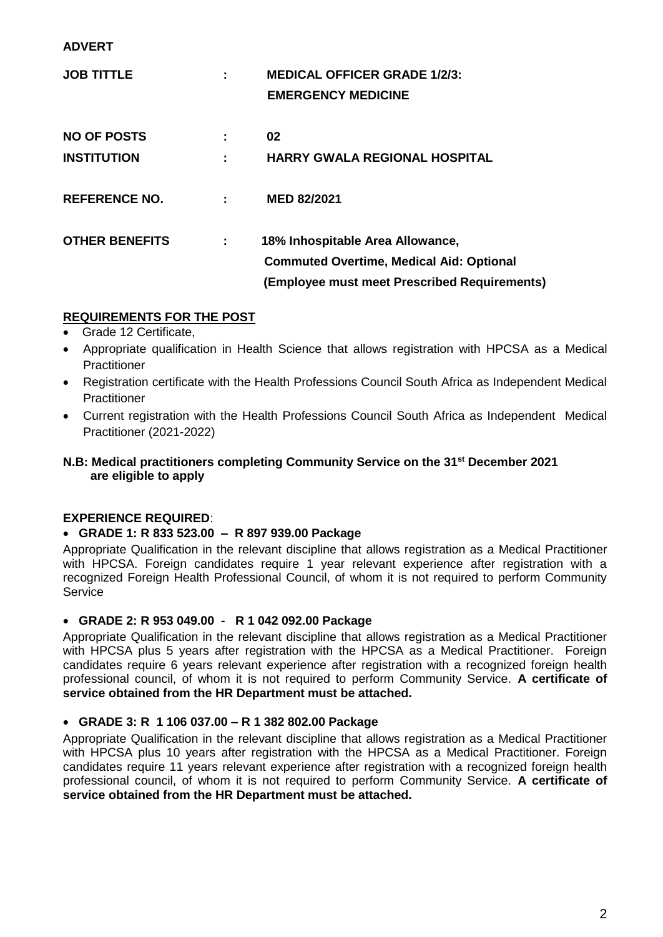#### **ADVERT**

| <b>JOB TITTLE</b>     |   | <b>MEDICAL OFFICER GRADE 1/2/3:</b>             |
|-----------------------|---|-------------------------------------------------|
|                       |   | <b>EMERGENCY MEDICINE</b>                       |
| <b>NO OF POSTS</b>    |   | 02                                              |
|                       |   |                                                 |
| <b>INSTITUTION</b>    |   | <b>HARRY GWALA REGIONAL HOSPITAL</b>            |
|                       |   |                                                 |
| <b>REFERENCE NO.</b>  |   | <b>MED 82/2021</b>                              |
|                       |   |                                                 |
| <b>OTHER BENEFITS</b> | ÷ | 18% Inhospitable Area Allowance,                |
|                       |   | <b>Commuted Overtime, Medical Aid: Optional</b> |
|                       |   | (Employee must meet Prescribed Requirements)    |
|                       |   |                                                 |

## **REQUIREMENTS FOR THE POST**

- Grade 12 Certificate,
- Appropriate qualification in Health Science that allows registration with HPCSA as a Medical **Practitioner**
- Registration certificate with the Health Professions Council South Africa as Independent Medical **Practitioner**
- Current registration with the Health Professions Council South Africa as Independent Medical Practitioner (2021-2022)

## **N.B: Medical practitioners completing Community Service on the 31st December 2021 are eligible to apply**

## **EXPERIENCE REQUIRED**:

## **GRADE 1: R 833 523.00 – R 897 939.00 Package**

Appropriate Qualification in the relevant discipline that allows registration as a Medical Practitioner with HPCSA. Foreign candidates require 1 year relevant experience after registration with a recognized Foreign Health Professional Council, of whom it is not required to perform Community Service

## **GRADE 2: R 953 049.00 - R 1 042 092.00 Package**

Appropriate Qualification in the relevant discipline that allows registration as a Medical Practitioner with HPCSA plus 5 years after registration with the HPCSA as a Medical Practitioner. Foreign candidates require 6 years relevant experience after registration with a recognized foreign health professional council, of whom it is not required to perform Community Service. **A certificate of service obtained from the HR Department must be attached.**

## **GRADE 3: R 1 106 037.00 – R 1 382 802.00 Package**

Appropriate Qualification in the relevant discipline that allows registration as a Medical Practitioner with HPCSA plus 10 years after registration with the HPCSA as a Medical Practitioner. Foreign candidates require 11 years relevant experience after registration with a recognized foreign health professional council, of whom it is not required to perform Community Service. **A certificate of service obtained from the HR Department must be attached.**